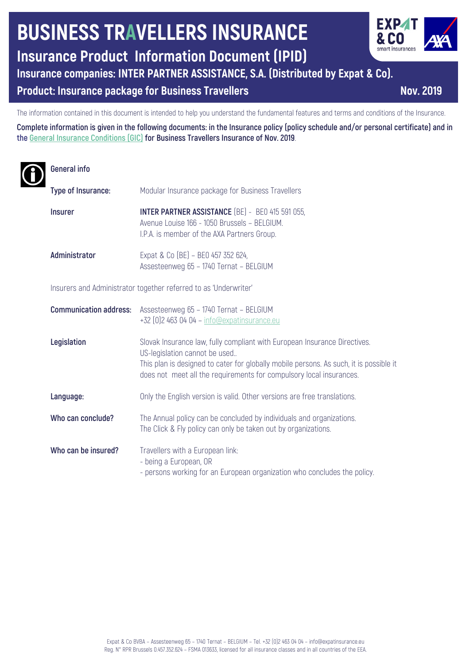# **BUSINESS TRAVELLERS INSURANCE**

**Insurance Product Information Document (IPID)**

**Insurance companies: INTER PARTNER ASSISTANCE, S.A. (Distributed by Expat & Co).**

## **Product: Insurance package for Business Travellers <b>Nov. Nov.** 2019

The information contained in this document is intended to help you understand the fundamental features and terms and conditions of the Insurance.

**Complete information is given in the following documents: in the Insurance policy (policy schedule and/or personal certificate) and in the General Insurance Conditions (GIC) for Business Travellers Insurance of Nov. 2019**.

## **General info**

| Type of Insurance:                                               | Modular Insurance package for Business Travellers                                                                                                                                                                                                                           |
|------------------------------------------------------------------|-----------------------------------------------------------------------------------------------------------------------------------------------------------------------------------------------------------------------------------------------------------------------------|
| <b>Insurer</b>                                                   | <b>INTER PARTNER ASSISTANCE</b> (BE) - BE0 415 591 055,<br>Avenue Louise 166 - 1050 Brussels - BELGIUM.<br>I.P.A. is member of the AXA Partners Group.                                                                                                                      |
| Administrator                                                    | Expat & Co (BE) - BE0 457 352 624,<br>Assesteenweg 65 - 1740 Ternat - BELGIUM                                                                                                                                                                                               |
| Insurers and Administrator together referred to as 'Underwriter' |                                                                                                                                                                                                                                                                             |
| <b>Communication address:</b>                                    | Assesteenweg 65 - 1740 Ternat - BELGIUM<br>+32 [0] 2 463 04 04 - info@expatinsurance.eu                                                                                                                                                                                     |
| Legislation                                                      | Slovak Insurance law, fully compliant with European Insurance Directives.<br>US-legislation cannot be used<br>This plan is designed to cater for globally mobile persons. As such, it is possible it<br>does not meet all the requirements for compulsory local insurances. |
| Language:                                                        | Only the English version is valid. Other versions are free translations.                                                                                                                                                                                                    |
| Who can conclude?                                                | The Annual policy can be concluded by individuals and organizations.<br>The Click & Fly policy can only be taken out by organizations.                                                                                                                                      |
| Who can be insured?                                              | Travellers with a European link:<br>- being a European, OR<br>- persons working for an European organization who concludes the policy.                                                                                                                                      |

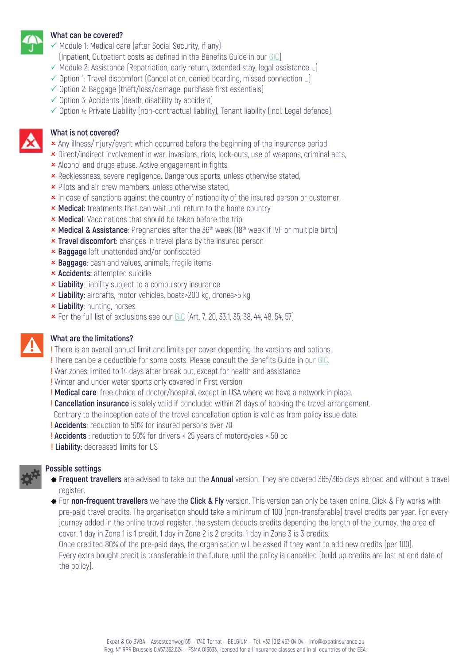

#### **What can be covered?**

- $\checkmark$  Module 1: Medical care (after Social Security, if any)
- (Inpatient, Outpatient costs as defined in the Benefits Guide in our GIC)
- $\checkmark$  Module 2: Assistance (Repatriation, early return, extended stay, legal assistance ...)
- $\checkmark$  Option 1: Travel discomfort (Cancellation, denied boarding, missed connection ...)
- $\checkmark$  Option 2: Baggage (theft/loss/damage, purchase first essentials)
- $\checkmark$  Option 3: Accidents (death, disability by accident)
- $\checkmark$  Option 4: Private Liability (non-contractual liability), Tenant liability (incl. Legal defence).

#### **What is not covered?**

- $\times$  Any illness/injury/event which occurred before the beginning of the insurance period
- **x** Direct/indirect involvement in war, invasions, riots, lock-outs, use of weapons, criminal acts,
- **x** Alcohol and drugs abuse. Active engagement in fights,
- **x** Recklessness, severe negligence. Dangerous sports, unless otherwise stated,
- **x** Pilots and air crew members, unless otherwise stated,
- **x** In case of sanctions against the country of nationality of the insured person or customer.
- **x Medical:** treatments that can wait until return to the home country
- **× Medical**: Vaccinations that should be taken before the trip
- **× Medical & Assistance**: Pregnancies after the 36<sup>th</sup> week (18<sup>th</sup> week if IVF or multiple birth)
- **x Travel discomfort**: changes in travel plans by the insured person
- **x Baggage** left unattended and/or confiscated
- **x Baggage**: cash and values, animals, fragile items
- **× Accidents:** attempted suicide
- **x Liability**: liability subject to a compulsory insurance
- **x Liability:** aircrafts, motor vehicles, boats>200 kg, drones>5 kg
- **x Liability:** hunting, horses
- $\times$  For the full list of exclusions see our GIC (Art. 7, 20, 33.1, 35, 38, 44, 48, 54, 57)

### **What are the limitations?**

**!** There is an overall annual limit and limits per cover depending the versions and options.

- **!** There can be a deductible for some costs. Please consult the Benefits Guide in our GIC.
- **!** War zones limited to 14 days after break out, except for health and assistance.
- **!** Winter and under water sports only covered in First version
- **! Medical care**: free choice of doctor/hospital, except in USA where we have a network in place.
- **! Cancellation insurance** is solely valid if concluded within 21 days of booking the travel arrangement.
- Contrary to the inception date of the travel cancellation option is valid as from policy issue date.
- **! Accidents**: reduction to 50% for insured persons over 70
- **! Accidents** : reduction to 50% for drivers < 25 years of motorcycles > 50 cc
- **! Liability:** decreased limits for US



#### **Possible settings**

- ] **Frequent travellers** are advised to take out the **Annual** version. They are covered 365/365 days abroad and without a travel register.
- ] For **non-frequent travellers** we have the **Click & Fly** version. This version can only be taken online. Click & Fly works with pre-paid travel credits. The organisation should take a minimum of 100 (non-transferable) travel credits per year. For every journey added in the online travel register, the system deducts credits depending the length of the journey, the area of cover. 1 day in Zone 1 is 1 credit, 1 day in Zone 2 is 2 credits, 1 day in Zone 3 is 3 credits.

 Once credited 80% of the pre-paid days, the organisation will be asked if they want to add new credits (per 100). Every extra bought credit is transferable in the future, until the policy is cancelled (build up credits are lost at end date of the policy).